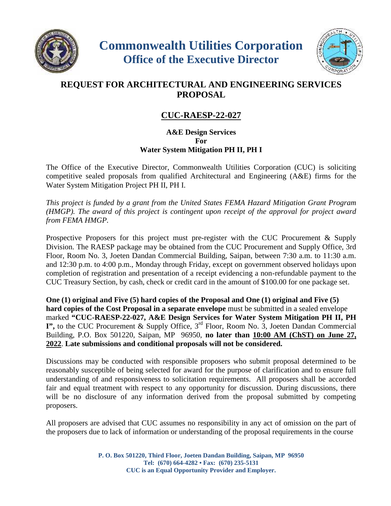



## **REQUEST FOR ARCHITECTURAL AND ENGINEERING SERVICES PROPOSAL**

## **CUC-RAESP-22-027**

## **A&E Design Services For Water System Mitigation PH II, PH I**

The Office of the Executive Director, Commonwealth Utilities Corporation (CUC) is soliciting competitive sealed proposals from qualified Architectural and Engineering (A&E) firms for the Water System Mitigation Project PH II, PH I.

*This project is funded by a grant from the United States FEMA Hazard Mitigation Grant Program (HMGP). The award of this project is contingent upon receipt of the approval for project award from FEMA HMGP.*

Prospective Proposers for this project must pre-register with the CUC Procurement & Supply Division. The RAESP package may be obtained from the CUC Procurement and Supply Office, 3rd Floor, Room No. 3, Joeten Dandan Commercial Building, Saipan, between 7:30 a.m. to 11:30 a.m. and 12:30 p.m. to 4:00 p.m., Monday through Friday, except on government observed holidays upon completion of registration and presentation of a receipt evidencing a non-refundable payment to the CUC Treasury Section, by cash, check or credit card in the amount of \$100.00 for one package set.

**One (1) original and Five (5) hard copies of the Proposal and One (1) original and Five (5) hard copies of the Cost Proposal in a separate envelope** must be submitted in a sealed envelope marked **"CUC-RAESP-22-027, A&E Design Services for Water System Mitigation PH II, PH I**", to the CUC Procurement & Supply Office, 3<sup>rd</sup> Floor, Room No. 3, Joeten Dandan Commercial Building, P.O. Box 501220, Saipan, MP 96950, **no later than 10:00 AM (ChST) on June 27, 2022**. **Late submissions and conditional proposals will not be considered.**

Discussions may be conducted with responsible proposers who submit proposal determined to be reasonably susceptible of being selected for award for the purpose of clarification and to ensure full understanding of and responsiveness to solicitation requirements. All proposers shall be accorded fair and equal treatment with respect to any opportunity for discussion. During discussions, there will be no disclosure of any information derived from the proposal submitted by competing proposers.

All proposers are advised that CUC assumes no responsibility in any act of omission on the part of the proposers due to lack of information or understanding of the proposal requirements in the course

> **P. O. Box 501220, Third Floor, Joeten Dandan Building, Saipan, MP 96950 Tel: (670) 664-4282 • Fax: (670) 235-5131 CUC is an Equal Opportunity Provider and Employer.**